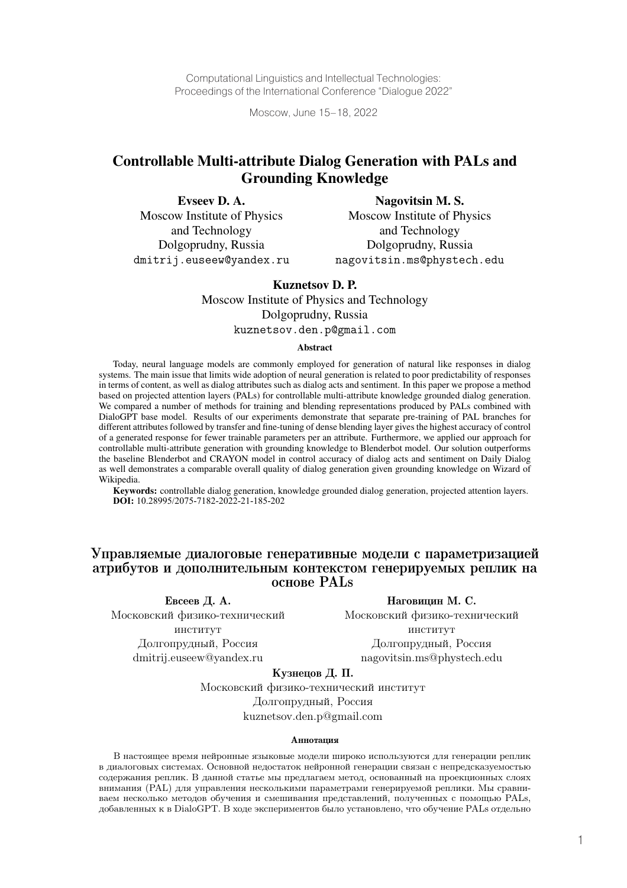Computational Linguistics and Intellectual Technologies: Proceedings of the International Conference "Dialogue 2022"

Moscow, June 15–18, 2022

# Controllable Multi-attribute Dialog Generation with PALs and Grounding Knowledge

Evseev D. A. Moscow Institute of Physics and Technology Dolgoprudny, Russia dmitrij.euseew@yandex.ru

Nagovitsin M. S. Moscow Institute of Physics and Technology Dolgoprudny, Russia nagovitsin.ms@phystech.edu

### Kuznetsov D. P.

Moscow Institute of Physics and Technology

Dolgoprudny, Russia

kuznetsov.den.p@gmail.com

#### Abstract

Today, neural language models are commonly employed for generation of natural like responses in dialog systems. The main issue that limits wide adoption of neural generation is related to poor predictability of responses in terms of content, as well as dialog attributes such as dialog acts and sentiment. In this paper we propose a method based on projected attention layers (PALs) for controllable multi-attribute knowledge grounded dialog generation. We compared a number of methods for training and blending representations produced by PALs combined with DialoGPT base model. Results of our experiments demonstrate that separate pre-training of PAL branches for different attributes followed by transfer and fine-tuning of dense blending layer gives the highest accuracy of control of a generated response for fewer trainable parameters per an attribute. Furthermore, we applied our approach for controllable multi-attribute generation with grounding knowledge to Blenderbot model. Our solution outperforms the baseline Blenderbot and CRAYON model in control accuracy of dialog acts and sentiment on Daily Dialog as well demonstrates a comparable overall quality of dialog generation given grounding knowledge on Wizard of Wikipedia.

Keywords: controllable dialog generation, knowledge grounded dialog generation, projected attention layers. **DOI:** 10.28995/2075-7182-2022-21-185-202

# Управляемые диалоговые генеративные модели с параметризацией атрибутов и дополнительным контекстом генерируемых реплик на основе PALs

Евсеев Д. А. Наговицин М. С.

Московский физико-технический Московский физико-технический институт институт Долгопрудный, Россия Долгопрудный, Россия dmitrij.euseew@yandex.ru nagovitsin.ms@phystech.edu

Кузнецов Д. П.

Московский физико-технический институт Долгопрудный, Россия kuznetsov.den.p@gmail.com

#### Аннотация

В настоящее время нейронные языковые модели широко используются для генерации реплик в диалоговых системах. Основной недостаток нейронной генерации связан с непредсказуемостью содержания реплик. В данной статье мы предлагаем метод, основанный на проекционных слоях внимания (PAL) для управления несколькими параметрами генерируемой реплики. Мы сравниваем несколько методов обучения и смешивания представлений, полученных с помощью PALs, добавленных к в DialoGPT. В ходе экспериментов было установлено, что обучение PALs отдельно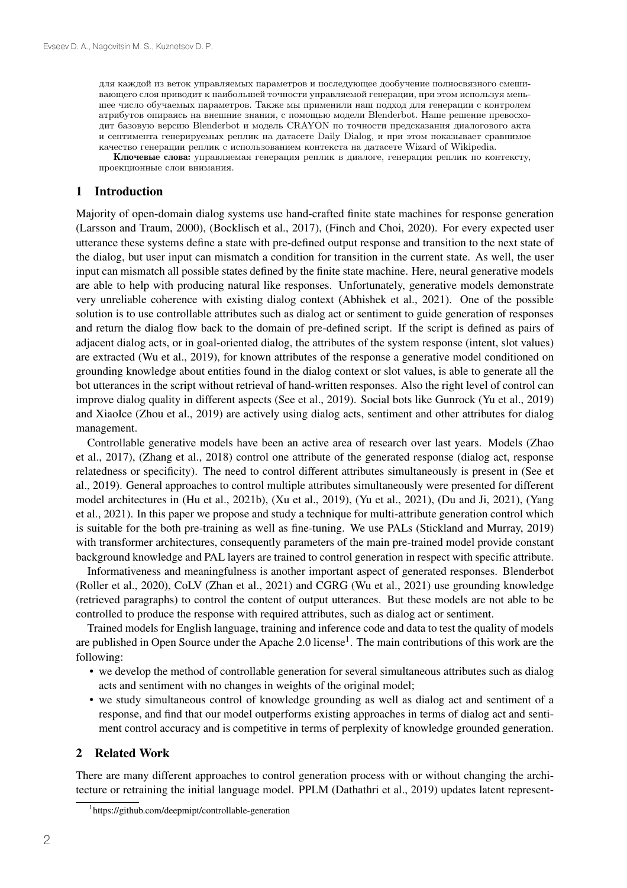для каждой из веток управляемых параметров и последующее дообучение полносвязного смешивающего слоя приводит к наибольшей точности управляемой генерации, при этом используя меньшее число обучаемых параметров. Также мы применили наш подход для генерации с контролем атрибутов опираясь на внешние знания, с помощью модели Blenderbot. Наше решение превосходит базовую версию Blenderbot и модель CRAYON по точности предсказания диалогового акта и сентимента генерируемых реплик на датасете Daily Dialog, и при этом показывает сравнимое качество генерации реплик с использованием контекста на датасете Wizard of Wikipedia.

Ключевые слова: управляемая генерация реплик в диалоге, генерация реплик по контексту, проекционные слои внимания.

#### 1 Introduction

Majority of open-domain dialog systems use hand-crafted finite state machines for response generation (Larsson and Traum, 2000), (Bocklisch et al., 2017), (Finch and Choi, 2020). For every expected user utterance these systems define a state with pre-defined output response and transition to the next state of the dialog, but user input can mismatch a condition for transition in the current state. As well, the user input can mismatch all possible states defined by the finite state machine. Here, neural generative models are able to help with producing natural like responses. Unfortunately, generative models demonstrate very unreliable coherence with existing dialog context (Abhishek et al., 2021). One of the possible solution is to use controllable attributes such as dialog act or sentiment to guide generation of responses and return the dialog flow back to the domain of pre-defined script. If the script is defined as pairs of adjacent dialog acts, or in goal-oriented dialog, the attributes of the system response (intent, slot values) are extracted (Wu et al., 2019), for known attributes of the response a generative model conditioned on grounding knowledge about entities found in the dialog context or slot values, is able to generate all the bot utterances in the script without retrieval of hand-written responses. Also the right level of control can improve dialog quality in different aspects (See et al., 2019). Social bots like Gunrock (Yu et al., 2019) and XiaoIce (Zhou et al., 2019) are actively using dialog acts, sentiment and other attributes for dialog management.

Controllable generative models have been an active area of research over last years. Models (Zhao et al., 2017), (Zhang et al., 2018) control one attribute of the generated response (dialog act, response relatedness or specificity). The need to control different attributes simultaneously is present in (See et al., 2019). General approaches to control multiple attributes simultaneously were presented for different model architectures in (Hu et al., 2021b), (Xu et al., 2019), (Yu et al., 2021), (Du and Ji, 2021), (Yang et al., 2021). In this paper we propose and study a technique for multi-attribute generation control which is suitable for the both pre-training as well as fine-tuning. We use PALs (Stickland and Murray, 2019) with transformer architectures, consequently parameters of the main pre-trained model provide constant background knowledge and PAL layers are trained to control generation in respect with specific attribute.

Informativeness and meaningfulness is another important aspect of generated responses. Blenderbot (Roller et al., 2020), CoLV (Zhan et al., 2021) and CGRG (Wu et al., 2021) use grounding knowledge (retrieved paragraphs) to control the content of output utterances. But these models are not able to be controlled to produce the response with required attributes, such as dialog act or sentiment.

Trained models for English language, training and inference code and data to test the quality of models are published in Open Source under the Apache 2.0 license<sup>1</sup>. The main contributions of this work are the following:

- we develop the method of controllable generation for several simultaneous attributes such as dialog acts and sentiment with no changes in weights of the original model;
- we study simultaneous control of knowledge grounding as well as dialog act and sentiment of a response, and find that our model outperforms existing approaches in terms of dialog act and sentiment control accuracy and is competitive in terms of perplexity of knowledge grounded generation.

#### 2 Related Work

There are many different approaches to control generation process with or without changing the architecture or retraining the initial language model. PPLM (Dathathri et al., 2019) updates latent represent-

<sup>1</sup> https://github.com/deepmipt/controllable-generation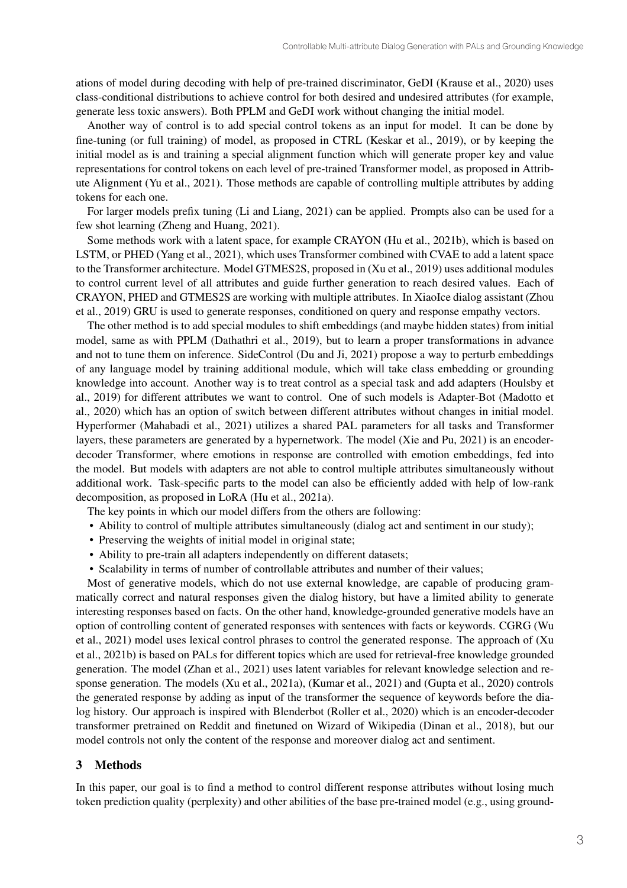ations of model during decoding with help of pre-trained discriminator, GeDI (Krause et al., 2020) uses class-conditional distributions to achieve control for both desired and undesired attributes (for example, generate less toxic answers). Both PPLM and GeDI work without changing the initial model.

Another way of control is to add special control tokens as an input for model. It can be done by fine-tuning (or full training) of model, as proposed in CTRL (Keskar et al., 2019), or by keeping the initial model as is and training a special alignment function which will generate proper key and value representations for control tokens on each level of pre-trained Transformer model, as proposed in Attribute Alignment (Yu et al., 2021). Those methods are capable of controlling multiple attributes by adding tokens for each one.

For larger models prefix tuning (Li and Liang, 2021) can be applied. Prompts also can be used for a few shot learning (Zheng and Huang, 2021).

Some methods work with a latent space, for example CRAYON (Hu et al., 2021b), which is based on LSTM, or PHED (Yang et al., 2021), which uses Transformer combined with CVAE to add a latent space to the Transformer architecture. Model GTMES2S, proposed in (Xu et al., 2019) uses additional modules to control current level of all attributes and guide further generation to reach desired values. Each of CRAYON, PHED and GTMES2S are working with multiple attributes. In XiaoIce dialog assistant (Zhou et al., 2019) GRU is used to generate responses, conditioned on query and response empathy vectors.

The other method is to add special modules to shift embeddings (and maybe hidden states) from initial model, same as with PPLM (Dathathri et al., 2019), but to learn a proper transformations in advance and not to tune them on inference. SideControl (Du and Ji, 2021) propose a way to perturb embeddings of any language model by training additional module, which will take class embedding or grounding knowledge into account. Another way is to treat control as a special task and add adapters (Houlsby et al., 2019) for different attributes we want to control. One of such models is Adapter-Bot (Madotto et al., 2020) which has an option of switch between different attributes without changes in initial model. Hyperformer (Mahabadi et al., 2021) utilizes a shared PAL parameters for all tasks and Transformer layers, these parameters are generated by a hypernetwork. The model (Xie and Pu, 2021) is an encoderdecoder Transformer, where emotions in response are controlled with emotion embeddings, fed into the model. But models with adapters are not able to control multiple attributes simultaneously without additional work. Task-specific parts to the model can also be efficiently added with help of low-rank decomposition, as proposed in LoRA (Hu et al., 2021a).

- The key points in which our model differs from the others are following:
- Ability to control of multiple attributes simultaneously (dialog act and sentiment in our study);
- Preserving the weights of initial model in original state;
- Ability to pre-train all adapters independently on different datasets;
- Scalability in terms of number of controllable attributes and number of their values;

Most of generative models, which do not use external knowledge, are capable of producing grammatically correct and natural responses given the dialog history, but have a limited ability to generate interesting responses based on facts. On the other hand, knowledge-grounded generative models have an option of controlling content of generated responses with sentences with facts or keywords. CGRG (Wu et al., 2021) model uses lexical control phrases to control the generated response. The approach of (Xu et al., 2021b) is based on PALs for different topics which are used for retrieval-free knowledge grounded generation. The model (Zhan et al., 2021) uses latent variables for relevant knowledge selection and response generation. The models (Xu et al., 2021a), (Kumar et al., 2021) and (Gupta et al., 2020) controls the generated response by adding as input of the transformer the sequence of keywords before the dialog history. Our approach is inspired with Blenderbot (Roller et al., 2020) which is an encoder-decoder transformer pretrained on Reddit and finetuned on Wizard of Wikipedia (Dinan et al., 2018), but our model controls not only the content of the response and moreover dialog act and sentiment.

### 3 Methods

In this paper, our goal is to find a method to control different response attributes without losing much token prediction quality (perplexity) and other abilities of the base pre-trained model (e.g., using ground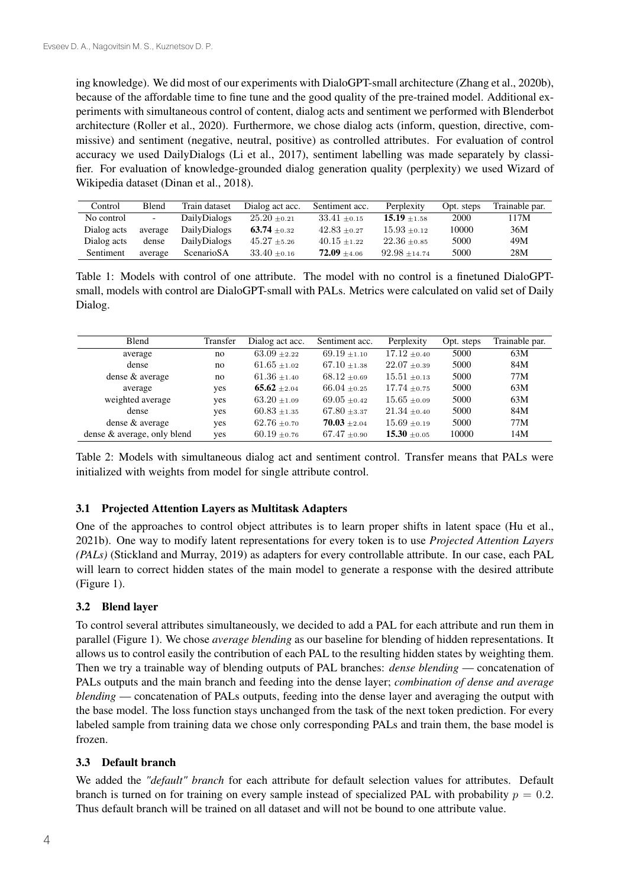ing knowledge). We did most of our experiments with DialoGPT-small architecture (Zhang et al., 2020b), because of the affordable time to fine tune and the good quality of the pre-trained model. Additional experiments with simultaneous control of content, dialog acts and sentiment we performed with Blenderbot architecture (Roller et al., 2020). Furthermore, we chose dialog acts (inform, question, directive, commissive) and sentiment (negative, neutral, positive) as controlled attributes. For evaluation of control accuracy we used DailyDialogs (Li et al., 2017), sentiment labelling was made separately by classifier. For evaluation of knowledge-grounded dialog generation quality (perplexity) we used Wizard of Wikipedia dataset (Dinan et al., 2018).

| Control     | Blend   | Train dataset       | Dialog act acc.  | Sentiment acc.   | Perplexity       | Opt. steps | Trainable par. |
|-------------|---------|---------------------|------------------|------------------|------------------|------------|----------------|
| No control  | $\sim$  | <b>DailyDialogs</b> | $25.20 \pm 0.21$ | $33.41 \pm 0.15$ | $15.19 \pm 1.58$ | 2000       | 17M            |
| Dialog acts | average | DailyDialogs        | 63.74 $\pm$ 0.32 | $42.83 \pm 0.27$ | $15.93 \pm 0.12$ | 10000      | 36M            |
| Dialog acts | dense   | <b>DailyDialogs</b> | $45.27 \pm 5.26$ | $40.15 \pm 1.22$ | $22.36 \pm 0.85$ | 5000       | 49M            |
| Sentiment   | average | ScenarioSA          | $33.40 \pm 0.16$ | $72.09 \pm 4.06$ | $92.98 + 14.74$  | 5000       | 28M            |

Table 1: Models with control of one attribute. The model with no control is a finetuned DialoGPTsmall, models with control are DialoGPT-small with PALs. Metrics were calculated on valid set of Daily Dialog.

| Blend                       | Transfer | Dialog act acc.  | Sentiment acc.   | Perplexity       | Opt. steps | Trainable par. |
|-----------------------------|----------|------------------|------------------|------------------|------------|----------------|
| average                     | no       | $63.09 \pm 2.22$ | $69.19 \pm 1.10$ | $17.12 \pm 0.40$ | 5000       | 63M            |
| dense                       | no       | $61.65 \pm 1.02$ | $67.10 \pm 1.38$ | $22.07 \pm 0.39$ | 5000       | 84M            |
| dense & average             | no       | $61.36 \pm 1.40$ | $68.12 \pm 0.69$ | $15.51 \pm 0.13$ | 5000       | 77M            |
| average                     | yes      | 65.62 $\pm 2.04$ | $66.04 \pm 0.25$ | $17.74 \pm 0.75$ | 5000       | 63M            |
| weighted average            | yes      | $63.20 \pm 1.09$ | $69.05 \pm 0.42$ | $15.65 \pm 0.09$ | 5000       | 63M            |
| dense                       | yes      | $60.83 \pm 1.35$ | $67.80 \pm 3.37$ | $21.34 \pm 0.40$ | 5000       | 84M            |
| dense & average             | yes      | $62.76 \pm 0.70$ | $70.03 \pm 2.04$ | $15.69 \pm 0.19$ | 5000       | 77M            |
| dense & average, only blend | yes      | $60.19 \pm 0.76$ | $67.47 \pm 0.90$ | $15.30 \pm 0.05$ | 10000      | 14M            |

Table 2: Models with simultaneous dialog act and sentiment control. Transfer means that PALs were initialized with weights from model for single attribute control.

## 3.1 Projected Attention Layers as Multitask Adapters

One of the approaches to control object attributes is to learn proper shifts in latent space (Hu et al., 2021b). One way to modify latent representations for every token is to use *Projected Attention Layers (PALs)* (Stickland and Murray, 2019) as adapters for every controllable attribute. In our case, each PAL will learn to correct hidden states of the main model to generate a response with the desired attribute (Figure 1).

## 3.2 Blend layer

To control several attributes simultaneously, we decided to add a PAL for each attribute and run them in parallel (Figure 1). We chose *average blending* as our baseline for blending of hidden representations. It allows us to control easily the contribution of each PAL to the resulting hidden states by weighting them. Then we try a trainable way of blending outputs of PAL branches: *dense blending* — concatenation of PALs outputs and the main branch and feeding into the dense layer; *combination of dense and average blending* — concatenation of PALs outputs, feeding into the dense layer and averaging the output with the base model. The loss function stays unchanged from the task of the next token prediction. For every labeled sample from training data we chose only corresponding PALs and train them, the base model is frozen.

## 3.3 Default branch

We added the *"default" branch* for each attribute for default selection values for attributes. Default branch is turned on for training on every sample instead of specialized PAL with probability  $p = 0.2$ . Thus default branch will be trained on all dataset and will not be bound to one attribute value.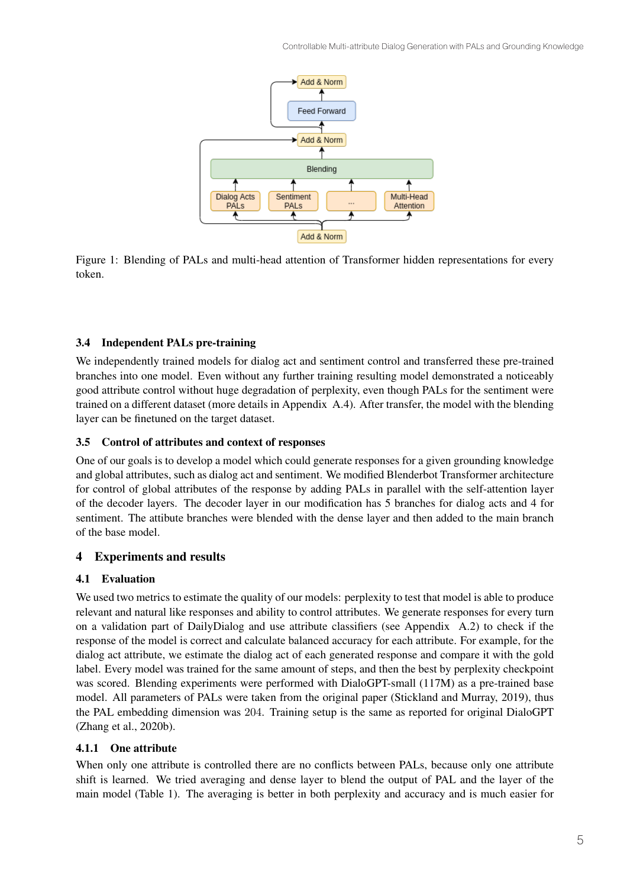

Figure 1: Blending of PALs and multi-head attention of Transformer hidden representations for every token.

## 3.4 Independent PALs pre-training

We independently trained models for dialog act and sentiment control and transferred these pre-trained branches into one model. Even without any further training resulting model demonstrated a noticeably good attribute control without huge degradation of perplexity, even though PALs for the sentiment were trained on a different dataset (more details in Appendix A.4). After transfer, the model with the blending layer can be finetuned on the target dataset.

# 3.5 Control of attributes and context of responses

One of our goals is to develop a model which could generate responses for a given grounding knowledge and global attributes, such as dialog act and sentiment. We modified Blenderbot Transformer architecture for control of global attributes of the response by adding PALs in parallel with the self-attention layer of the decoder layers. The decoder layer in our modification has 5 branches for dialog acts and 4 for sentiment. The attibute branches were blended with the dense layer and then added to the main branch of the base model.

# 4 Experiments and results

## 4.1 Evaluation

We used two metrics to estimate the quality of our models: perplexity to test that model is able to produce relevant and natural like responses and ability to control attributes. We generate responses for every turn on a validation part of DailyDialog and use attribute classifiers (see Appendix A.2) to check if the response of the model is correct and calculate balanced accuracy for each attribute. For example, for the dialog act attribute, we estimate the dialog act of each generated response and compare it with the gold label. Every model was trained for the same amount of steps, and then the best by perplexity checkpoint was scored. Blending experiments were performed with DialoGPT-small (117M) as a pre-trained base model. All parameters of PALs were taken from the original paper (Stickland and Murray, 2019), thus the PAL embedding dimension was 204. Training setup is the same as reported for original DialoGPT (Zhang et al., 2020b).

## 4.1.1 One attribute

When only one attribute is controlled there are no conflicts between PALs, because only one attribute shift is learned. We tried averaging and dense layer to blend the output of PAL and the layer of the main model (Table 1). The averaging is better in both perplexity and accuracy and is much easier for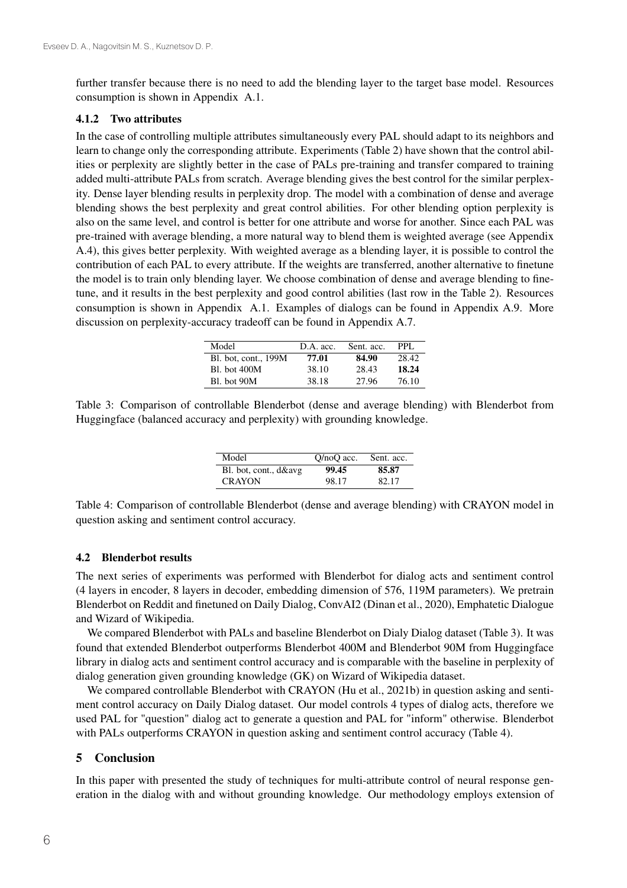further transfer because there is no need to add the blending layer to the target base model. Resources consumption is shown in Appendix A.1.

#### 4.1.2 Two attributes

In the case of controlling multiple attributes simultaneously every PAL should adapt to its neighbors and learn to change only the corresponding attribute. Experiments (Table 2) have shown that the control abilities or perplexity are slightly better in the case of PALs pre-training and transfer compared to training added multi-attribute PALs from scratch. Average blending gives the best control for the similar perplexity. Dense layer blending results in perplexity drop. The model with a combination of dense and average blending shows the best perplexity and great control abilities. For other blending option perplexity is also on the same level, and control is better for one attribute and worse for another. Since each PAL was pre-trained with average blending, a more natural way to blend them is weighted average (see Appendix A.4), this gives better perplexity. With weighted average as a blending layer, it is possible to control the contribution of each PAL to every attribute. If the weights are transferred, another alternative to finetune the model is to train only blending layer. We choose combination of dense and average blending to finetune, and it results in the best perplexity and good control abilities (last row in the Table 2). Resources consumption is shown in Appendix A.1. Examples of dialogs can be found in Appendix A.9. More discussion on perplexity-accuracy tradeoff can be found in Appendix A.7.

| Model                | D.A. acc. | Sent. acc. | PPL.  |
|----------------------|-----------|------------|-------|
| Bl. bot. cont., 199M | 77.01     | 84.90      | 28.42 |
| <b>Bl.</b> bot 400M  | 38.10     | 28.43      | 18.24 |
| Bl. bot 90M          | 38.18     | 27.96      | 76.10 |

Table 3: Comparison of controllable Blenderbot (dense and average blending) with Blenderbot from Huggingface (balanced accuracy and perplexity) with grounding knowledge.

| Model                 | $O/noO$ acc. | Sent. acc. |
|-----------------------|--------------|------------|
| Bl. bot, cont., d&avg | 99.45        | 85.87      |
| <b>CRAYON</b>         | 98.17        | 82.17      |

Table 4: Comparison of controllable Blenderbot (dense and average blending) with CRAYON model in question asking and sentiment control accuracy.

### 4.2 Blenderbot results

The next series of experiments was performed with Blenderbot for dialog acts and sentiment control (4 layers in encoder, 8 layers in decoder, embedding dimension of 576, 119M parameters). We pretrain Blenderbot on Reddit and finetuned on Daily Dialog, ConvAI2 (Dinan et al., 2020), Emphatetic Dialogue and Wizard of Wikipedia.

We compared Blenderbot with PALs and baseline Blenderbot on Dialy Dialog dataset (Table 3). It was found that extended Blenderbot outperforms Blenderbot 400M and Blenderbot 90M from Huggingface library in dialog acts and sentiment control accuracy and is comparable with the baseline in perplexity of dialog generation given grounding knowledge (GK) on Wizard of Wikipedia dataset.

We compared controllable Blenderbot with CRAYON (Hu et al., 2021b) in question asking and sentiment control accuracy on Daily Dialog dataset. Our model controls 4 types of dialog acts, therefore we used PAL for "question" dialog act to generate a question and PAL for "inform" otherwise. Blenderbot with PALs outperforms CRAYON in question asking and sentiment control accuracy (Table 4).

### 5 Conclusion

In this paper with presented the study of techniques for multi-attribute control of neural response generation in the dialog with and without grounding knowledge. Our methodology employs extension of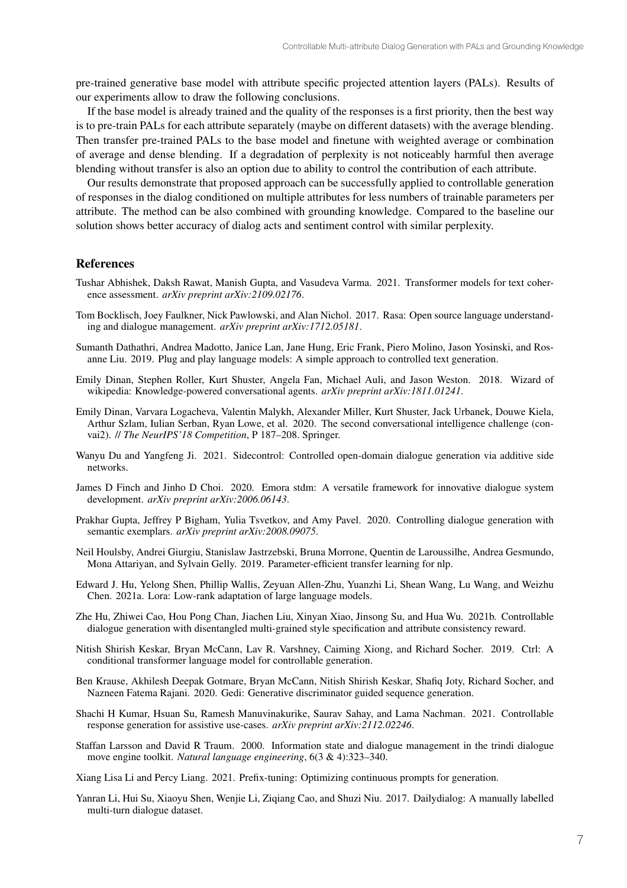pre-trained generative base model with attribute specific projected attention layers (PALs). Results of our experiments allow to draw the following conclusions.

If the base model is already trained and the quality of the responses is a first priority, then the best way is to pre-train PALs for each attribute separately (maybe on different datasets) with the average blending. Then transfer pre-trained PALs to the base model and finetune with weighted average or combination of average and dense blending. If a degradation of perplexity is not noticeably harmful then average blending without transfer is also an option due to ability to control the contribution of each attribute.

Our results demonstrate that proposed approach can be successfully applied to controllable generation of responses in the dialog conditioned on multiple attributes for less numbers of trainable parameters per attribute. The method can be also combined with grounding knowledge. Compared to the baseline our solution shows better accuracy of dialog acts and sentiment control with similar perplexity.

### References

- Tushar Abhishek, Daksh Rawat, Manish Gupta, and Vasudeva Varma. 2021. Transformer models for text coherence assessment. *arXiv preprint arXiv:2109.02176*.
- Tom Bocklisch, Joey Faulkner, Nick Pawlowski, and Alan Nichol. 2017. Rasa: Open source language understanding and dialogue management. *arXiv preprint arXiv:1712.05181*.
- Sumanth Dathathri, Andrea Madotto, Janice Lan, Jane Hung, Eric Frank, Piero Molino, Jason Yosinski, and Rosanne Liu. 2019. Plug and play language models: A simple approach to controlled text generation.
- Emily Dinan, Stephen Roller, Kurt Shuster, Angela Fan, Michael Auli, and Jason Weston. 2018. Wizard of wikipedia: Knowledge-powered conversational agents. *arXiv preprint arXiv:1811.01241*.
- Emily Dinan, Varvara Logacheva, Valentin Malykh, Alexander Miller, Kurt Shuster, Jack Urbanek, Douwe Kiela, Arthur Szlam, Iulian Serban, Ryan Lowe, et al. 2020. The second conversational intelligence challenge (convai2). // *The NeurIPS'18 Competition*, P 187–208. Springer.
- Wanyu Du and Yangfeng Ji. 2021. Sidecontrol: Controlled open-domain dialogue generation via additive side networks.
- James D Finch and Jinho D Choi. 2020. Emora stdm: A versatile framework for innovative dialogue system development. *arXiv preprint arXiv:2006.06143*.
- Prakhar Gupta, Jeffrey P Bigham, Yulia Tsvetkov, and Amy Pavel. 2020. Controlling dialogue generation with semantic exemplars. *arXiv preprint arXiv:2008.09075*.
- Neil Houlsby, Andrei Giurgiu, Stanislaw Jastrzebski, Bruna Morrone, Quentin de Laroussilhe, Andrea Gesmundo, Mona Attariyan, and Sylvain Gelly. 2019. Parameter-efficient transfer learning for nlp.
- Edward J. Hu, Yelong Shen, Phillip Wallis, Zeyuan Allen-Zhu, Yuanzhi Li, Shean Wang, Lu Wang, and Weizhu Chen. 2021a. Lora: Low-rank adaptation of large language models.
- Zhe Hu, Zhiwei Cao, Hou Pong Chan, Jiachen Liu, Xinyan Xiao, Jinsong Su, and Hua Wu. 2021b. Controllable dialogue generation with disentangled multi-grained style specification and attribute consistency reward.
- Nitish Shirish Keskar, Bryan McCann, Lav R. Varshney, Caiming Xiong, and Richard Socher. 2019. Ctrl: A conditional transformer language model for controllable generation.
- Ben Krause, Akhilesh Deepak Gotmare, Bryan McCann, Nitish Shirish Keskar, Shafiq Joty, Richard Socher, and Nazneen Fatema Rajani. 2020. Gedi: Generative discriminator guided sequence generation.
- Shachi H Kumar, Hsuan Su, Ramesh Manuvinakurike, Saurav Sahay, and Lama Nachman. 2021. Controllable response generation for assistive use-cases. *arXiv preprint arXiv:2112.02246*.
- Staffan Larsson and David R Traum. 2000. Information state and dialogue management in the trindi dialogue move engine toolkit. *Natural language engineering*, 6(3 & 4):323–340.

Xiang Lisa Li and Percy Liang. 2021. Prefix-tuning: Optimizing continuous prompts for generation.

Yanran Li, Hui Su, Xiaoyu Shen, Wenjie Li, Ziqiang Cao, and Shuzi Niu. 2017. Dailydialog: A manually labelled multi-turn dialogue dataset.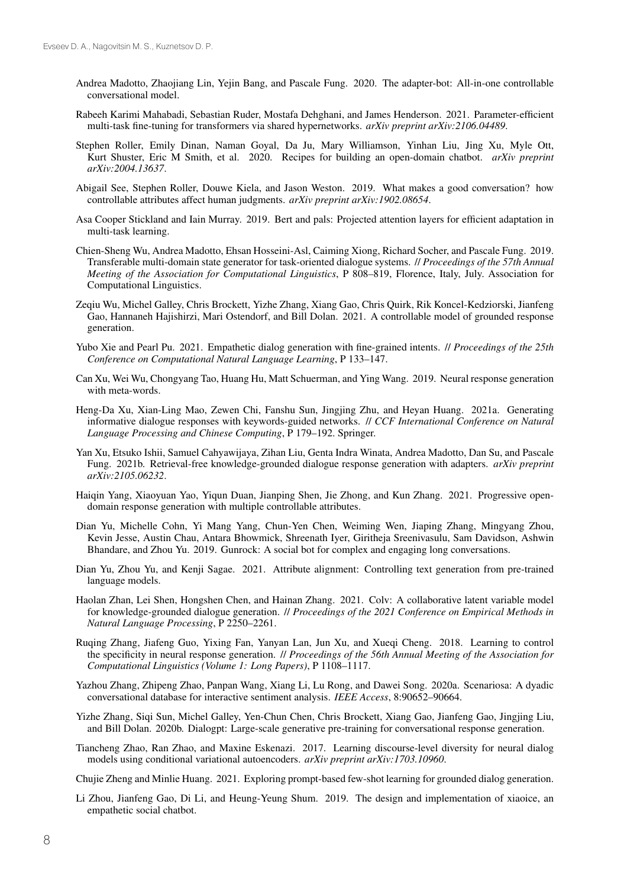- Andrea Madotto, Zhaojiang Lin, Yejin Bang, and Pascale Fung. 2020. The adapter-bot: All-in-one controllable conversational model.
- Rabeeh Karimi Mahabadi, Sebastian Ruder, Mostafa Dehghani, and James Henderson. 2021. Parameter-efficient multi-task fine-tuning for transformers via shared hypernetworks. *arXiv preprint arXiv:2106.04489*.
- Stephen Roller, Emily Dinan, Naman Goyal, Da Ju, Mary Williamson, Yinhan Liu, Jing Xu, Myle Ott, Kurt Shuster, Eric M Smith, et al. 2020. Recipes for building an open-domain chatbot. *arXiv preprint arXiv:2004.13637*.
- Abigail See, Stephen Roller, Douwe Kiela, and Jason Weston. 2019. What makes a good conversation? how controllable attributes affect human judgments. *arXiv preprint arXiv:1902.08654*.
- Asa Cooper Stickland and Iain Murray. 2019. Bert and pals: Projected attention layers for efficient adaptation in multi-task learning.
- Chien-Sheng Wu, Andrea Madotto, Ehsan Hosseini-Asl, Caiming Xiong, Richard Socher, and Pascale Fung. 2019. Transferable multi-domain state generator for task-oriented dialogue systems. // *Proceedings of the 57th Annual Meeting of the Association for Computational Linguistics*, P 808–819, Florence, Italy, July. Association for Computational Linguistics.
- Zeqiu Wu, Michel Galley, Chris Brockett, Yizhe Zhang, Xiang Gao, Chris Quirk, Rik Koncel-Kedziorski, Jianfeng Gao, Hannaneh Hajishirzi, Mari Ostendorf, and Bill Dolan. 2021. A controllable model of grounded response generation.
- Yubo Xie and Pearl Pu. 2021. Empathetic dialog generation with fine-grained intents. // *Proceedings of the 25th Conference on Computational Natural Language Learning*, P 133–147.
- Can Xu, Wei Wu, Chongyang Tao, Huang Hu, Matt Schuerman, and Ying Wang. 2019. Neural response generation with meta-words.
- Heng-Da Xu, Xian-Ling Mao, Zewen Chi, Fanshu Sun, Jingjing Zhu, and Heyan Huang. 2021a. Generating informative dialogue responses with keywords-guided networks. // *CCF International Conference on Natural Language Processing and Chinese Computing*, P 179–192. Springer.
- Yan Xu, Etsuko Ishii, Samuel Cahyawijaya, Zihan Liu, Genta Indra Winata, Andrea Madotto, Dan Su, and Pascale Fung. 2021b. Retrieval-free knowledge-grounded dialogue response generation with adapters. *arXiv preprint arXiv:2105.06232*.
- Haiqin Yang, Xiaoyuan Yao, Yiqun Duan, Jianping Shen, Jie Zhong, and Kun Zhang. 2021. Progressive opendomain response generation with multiple controllable attributes.
- Dian Yu, Michelle Cohn, Yi Mang Yang, Chun-Yen Chen, Weiming Wen, Jiaping Zhang, Mingyang Zhou, Kevin Jesse, Austin Chau, Antara Bhowmick, Shreenath Iyer, Giritheja Sreenivasulu, Sam Davidson, Ashwin Bhandare, and Zhou Yu. 2019. Gunrock: A social bot for complex and engaging long conversations.
- Dian Yu, Zhou Yu, and Kenji Sagae. 2021. Attribute alignment: Controlling text generation from pre-trained language models.
- Haolan Zhan, Lei Shen, Hongshen Chen, and Hainan Zhang. 2021. Colv: A collaborative latent variable model for knowledge-grounded dialogue generation. // *Proceedings of the 2021 Conference on Empirical Methods in Natural Language Processing*, P 2250–2261.
- Ruqing Zhang, Jiafeng Guo, Yixing Fan, Yanyan Lan, Jun Xu, and Xueqi Cheng. 2018. Learning to control the specificity in neural response generation. // *Proceedings of the 56th Annual Meeting of the Association for Computational Linguistics (Volume 1: Long Papers)*, P 1108–1117.
- Yazhou Zhang, Zhipeng Zhao, Panpan Wang, Xiang Li, Lu Rong, and Dawei Song. 2020a. Scenariosa: A dyadic conversational database for interactive sentiment analysis. *IEEE Access*, 8:90652–90664.
- Yizhe Zhang, Siqi Sun, Michel Galley, Yen-Chun Chen, Chris Brockett, Xiang Gao, Jianfeng Gao, Jingjing Liu, and Bill Dolan. 2020b. Dialogpt: Large-scale generative pre-training for conversational response generation.
- Tiancheng Zhao, Ran Zhao, and Maxine Eskenazi. 2017. Learning discourse-level diversity for neural dialog models using conditional variational autoencoders. *arXiv preprint arXiv:1703.10960*.

Chujie Zheng and Minlie Huang. 2021. Exploring prompt-based few-shot learning for grounded dialog generation.

Li Zhou, Jianfeng Gao, Di Li, and Heung-Yeung Shum. 2019. The design and implementation of xiaoice, an empathetic social chatbot.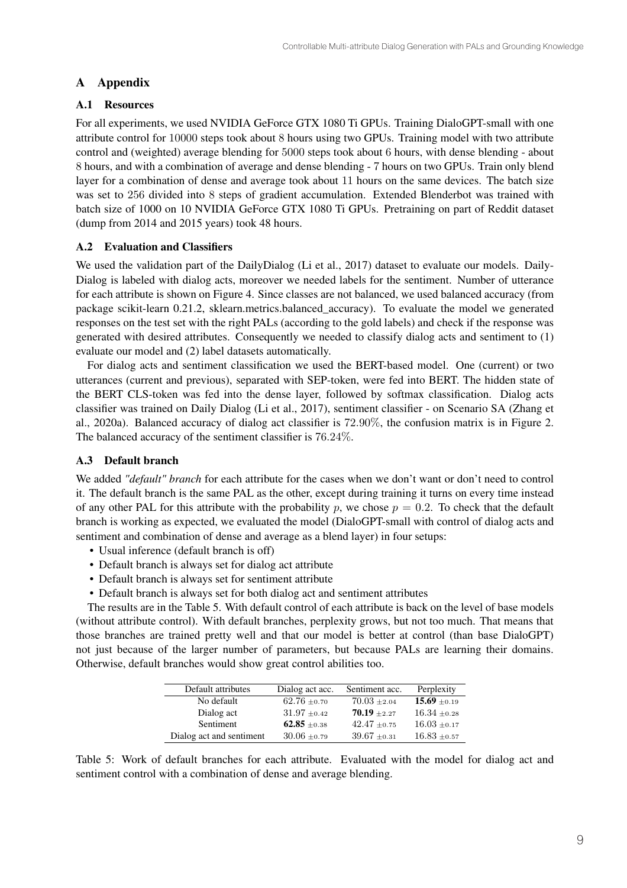# A Appendix

# A.1 Resources

For all experiments, we used NVIDIA GeForce GTX 1080 Ti GPUs. Training DialoGPT-small with one attribute control for 10000 steps took about 8 hours using two GPUs. Training model with two attribute control and (weighted) average blending for 5000 steps took about 6 hours, with dense blending - about 8 hours, and with a combination of average and dense blending - 7 hours on two GPUs. Train only blend layer for a combination of dense and average took about 11 hours on the same devices. The batch size was set to 256 divided into 8 steps of gradient accumulation. Extended Blenderbot was trained with batch size of 1000 on 10 NVIDIA GeForce GTX 1080 Ti GPUs. Pretraining on part of Reddit dataset (dump from 2014 and 2015 years) took 48 hours.

# A.2 Evaluation and Classifiers

We used the validation part of the DailyDialog (Li et al., 2017) dataset to evaluate our models. Daily-Dialog is labeled with dialog acts, moreover we needed labels for the sentiment. Number of utterance for each attribute is shown on Figure 4. Since classes are not balanced, we used balanced accuracy (from package scikit-learn 0.21.2, sklearn.metrics.balanced\_accuracy). To evaluate the model we generated responses on the test set with the right PALs (according to the gold labels) and check if the response was generated with desired attributes. Consequently we needed to classify dialog acts and sentiment to (1) evaluate our model and (2) label datasets automatically.

For dialog acts and sentiment classification we used the BERT-based model. One (current) or two utterances (current and previous), separated with SEP-token, were fed into BERT. The hidden state of the BERT CLS-token was fed into the dense layer, followed by softmax classification. Dialog acts classifier was trained on Daily Dialog (Li et al., 2017), sentiment classifier - on Scenario SA (Zhang et al., 2020a). Balanced accuracy of dialog act classifier is 72.90%, the confusion matrix is in Figure 2. The balanced accuracy of the sentiment classifier is 76.24%.

# A.3 Default branch

We added *"default" branch* for each attribute for the cases when we don't want or don't need to control it. The default branch is the same PAL as the other, except during training it turns on every time instead of any other PAL for this attribute with the probability p, we chose  $p = 0.2$ . To check that the default branch is working as expected, we evaluated the model (DialoGPT-small with control of dialog acts and sentiment and combination of dense and average as a blend layer) in four setups:

- Usual inference (default branch is off)
- Default branch is always set for dialog act attribute
- Default branch is always set for sentiment attribute
- Default branch is always set for both dialog act and sentiment attributes

The results are in the Table 5. With default control of each attribute is back on the level of base models (without attribute control). With default branches, perplexity grows, but not too much. That means that those branches are trained pretty well and that our model is better at control (than base DialoGPT) not just because of the larger number of parameters, but because PALs are learning their domains. Otherwise, default branches would show great control abilities too.

| Default attributes       | Dialog act acc.  | Sentiment acc.   | Perplexity       |
|--------------------------|------------------|------------------|------------------|
| No default               | $62.76 \pm 0.70$ | $70.03 \pm 2.04$ | $15.69 \pm 0.19$ |
| Dialog act               | $31.97 \pm 0.42$ | $70.19 + 2.27$   | $16.34 \pm 0.28$ |
| Sentiment                | 62.85 $\pm$ 0.38 | $42.47 + 0.75$   | $16.03 \pm 0.17$ |
| Dialog act and sentiment | $30.06 \pm 0.79$ | $39.67 \pm 0.31$ | $16.83 \pm 0.57$ |

Table 5: Work of default branches for each attribute. Evaluated with the model for dialog act and sentiment control with a combination of dense and average blending.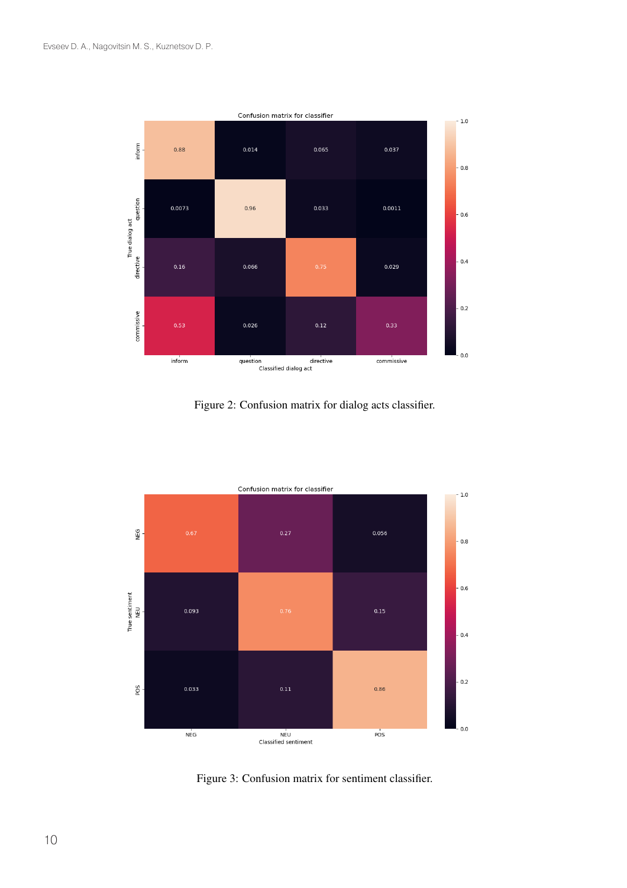

Figure 2: Confusion matrix for dialog acts classifier.



Figure 3: Confusion matrix for sentiment classifier.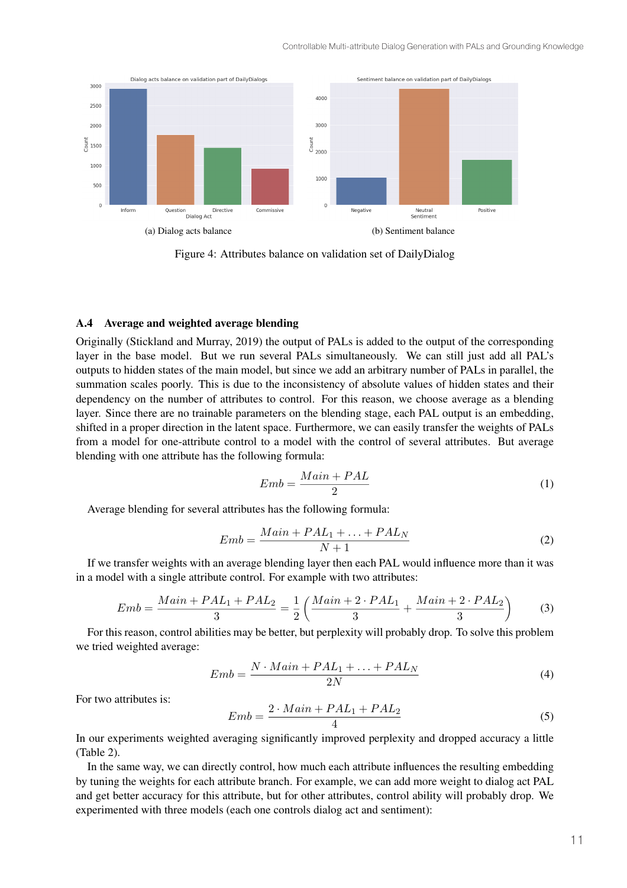

Figure 4: Attributes balance on validation set of DailyDialog

#### A.4 Average and weighted average blending

Originally (Stickland and Murray, 2019) the output of PALs is added to the output of the corresponding layer in the base model. But we run several PALs simultaneously. We can still just add all PAL's outputs to hidden states of the main model, but since we add an arbitrary number of PALs in parallel, the summation scales poorly. This is due to the inconsistency of absolute values of hidden states and their dependency on the number of attributes to control. For this reason, we choose average as a blending layer. Since there are no trainable parameters on the blending stage, each PAL output is an embedding, shifted in a proper direction in the latent space. Furthermore, we can easily transfer the weights of PALs from a model for one-attribute control to a model with the control of several attributes. But average blending with one attribute has the following formula:

$$
Emb = \frac{Main + PAL}{2} \tag{1}
$$

Average blending for several attributes has the following formula:

$$
Emb = \frac{Main + PAL_1 + \dots + PAL_N}{N+1}
$$
 (2)

If we transfer weights with an average blending layer then each PAL would influence more than it was in a model with a single attribute control. For example with two attributes:

$$
Emb = \frac{Main + PAL_1 + PAL_2}{3} = \frac{1}{2} \left( \frac{Main + 2 \cdot PAL_1}{3} + \frac{Main + 2 \cdot PAL_2}{3} \right) \tag{3}
$$

For this reason, control abilities may be better, but perplexity will probably drop. To solve this problem we tried weighted average:

$$
Emb = \frac{N \cdot Main + PAL_1 + \ldots + PAL_N}{2N} \tag{4}
$$

For two attributes is:

$$
Emb = \frac{2 \cdot Main + PAL_1 + PAL_2}{4} \tag{5}
$$

In our experiments weighted averaging significantly improved perplexity and dropped accuracy a little (Table 2).

In the same way, we can directly control, how much each attribute influences the resulting embedding by tuning the weights for each attribute branch. For example, we can add more weight to dialog act PAL and get better accuracy for this attribute, but for other attributes, control ability will probably drop. We experimented with three models (each one controls dialog act and sentiment):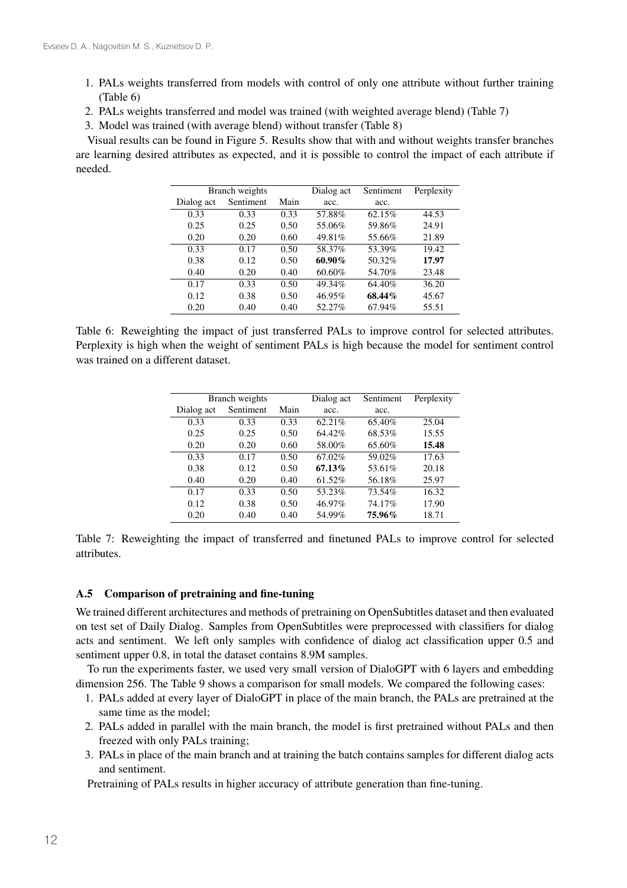- 1. PALs weights transferred from models with control of only one attribute without further training (Table 6)
- 2. PALs weights transferred and model was trained (with weighted average blend) (Table 7)
- 3. Model was trained (with average blend) without transfer (Table 8)

Visual results can be found in Figure 5. Results show that with and without weights transfer branches are learning desired attributes as expected, and it is possible to control the impact of each attribute if needed.

| Branch weights |           |      | Dialog act | Sentiment | Perplexity |
|----------------|-----------|------|------------|-----------|------------|
| Dialog act     | Sentiment | Main | acc.       | acc.      |            |
| 0.33           | 0.33      | 0.33 | 57.88%     | 62.15%    | 44.53      |
| 0.25           | 0.25      | 0.50 | 55.06%     | 59.86%    | 24.91      |
| 0.20           | 0.20      | 0.60 | 49.81%     | 55.66%    | 21.89      |
| 0.33           | 0.17      | 0.50 | 58.37%     | 53.39%    | 19.42      |
| 0.38           | 0.12      | 0.50 | $60.90\%$  | 50.32%    | 17.97      |
| 0.40           | 0.20      | 0.40 | 60.60%     | 54.70%    | 23.48      |
| 0.17           | 0.33      | 0.50 | 49.34%     | 64.40%    | 36.20      |
| 0.12           | 0.38      | 0.50 | 46.95%     | 68.44%    | 45.67      |
| 0.20           | 0.40      | 0.40 | 52.27%     | 67.94%    | 55.51      |

Table 6: Reweighting the impact of just transferred PALs to improve control for selected attributes. Perplexity is high when the weight of sentiment PALs is high because the model for sentiment control was trained on a different dataset.

| Branch weights |           |      | Dialog act | Sentiment | Perplexity |
|----------------|-----------|------|------------|-----------|------------|
| Dialog act     | Sentiment | Main | acc.       | acc.      |            |
| 0.33           | 0.33      | 0.33 | 62.21%     | 65.40%    | 25.04      |
| 0.25           | 0.25      | 0.50 | 64.42%     | 68.53%    | 15.55      |
| 0.20           | 0.20      | 0.60 | 58.00%     | 65.60%    | 15.48      |
| 0.33           | 0.17      | 0.50 | 67.02%     | 59.02%    | 17.63      |
| 0.38           | 0.12      | 0.50 | 67.13%     | 53.61%    | 20.18      |
| 0.40           | 0.20      | 0.40 | 61.52%     | 56.18%    | 25.97      |
| 0.17           | 0.33      | 0.50 | 53.23%     | 73.54%    | 16.32      |
| 0.12           | 0.38      | 0.50 | 46.97%     | 74.17%    | 17.90      |
| 0.20           | 0.40      | 0.40 | 54.99%     | 75.96%    | 18.71      |

Table 7: Reweighting the impact of transferred and finetuned PALs to improve control for selected attributes.

#### A.5 Comparison of pretraining and fine-tuning

We trained different architectures and methods of pretraining on OpenSubtitles dataset and then evaluated on test set of Daily Dialog. Samples from OpenSubtitles were preprocessed with classifiers for dialog acts and sentiment. We left only samples with confidence of dialog act classification upper 0.5 and sentiment upper 0.8, in total the dataset contains 8.9M samples.

To run the experiments faster, we used very small version of DialoGPT with 6 layers and embedding dimension 256. The Table 9 shows a comparison for small models. We compared the following cases:

- 1. PALs added at every layer of DialoGPT in place of the main branch, the PALs are pretrained at the same time as the model;
- 2. PALs added in parallel with the main branch, the model is first pretrained without PALs and then freezed with only PALs training;
- 3. PALs in place of the main branch and at training the batch contains samples for different dialog acts and sentiment.

Pretraining of PALs results in higher accuracy of attribute generation than fine-tuning.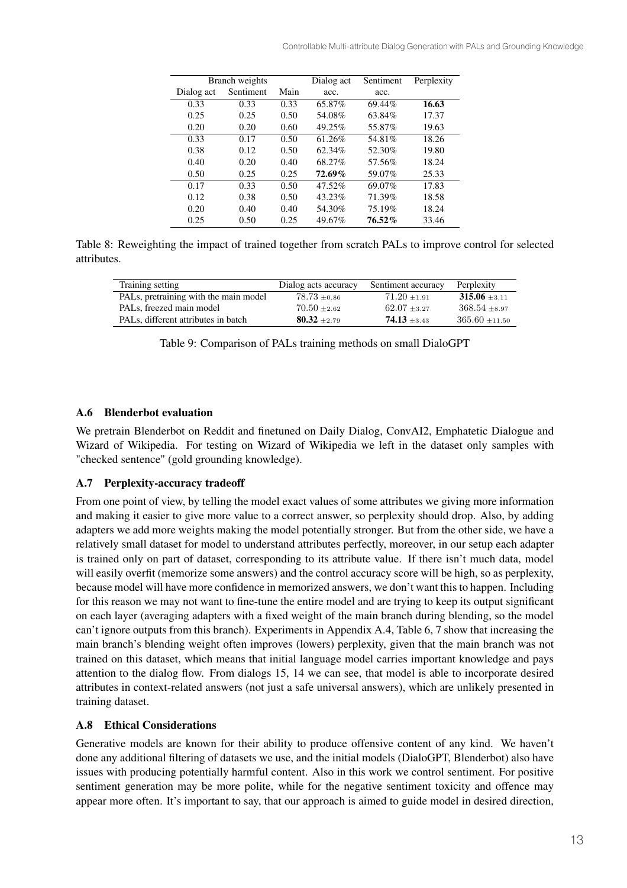|            | Branch weights |      | Dialog act | Sentiment | Perplexity |
|------------|----------------|------|------------|-----------|------------|
| Dialog act | Sentiment      | Main | acc.       | acc.      |            |
| 0.33       | 0.33           | 0.33 | 65.87%     | 69.44%    | 16.63      |
| 0.25       | 0.25           | 0.50 | 54.08%     | 63.84%    | 17.37      |
| 0.20       | 0.20           | 0.60 | 49.25%     | 55.87%    | 19.63      |
| 0.33       | 0.17           | 0.50 | 61.26%     | 54.81%    | 18.26      |
| 0.38       | 0.12           | 0.50 | 62.34%     | 52.30%    | 19.80      |
| 0.40       | 0.20           | 0.40 | 68.27%     | 57.56%    | 18.24      |
| 0.50       | 0.25           | 0.25 | 72.69%     | 59.07%    | 25.33      |
| 0.17       | 0.33           | 0.50 | 47.52%     | 69.07%    | 17.83      |
| 0.12       | 0.38           | 0.50 | 43.23%     | 71.39%    | 18.58      |
| 0.20       | 0.40           | 0.40 | 54.30%     | 75.19%    | 18.24      |
| 0.25       | 0.50           | 0.25 | 49.67%     | $76.52\%$ | 33.46      |

Table 8: Reweighting the impact of trained together from scratch PALs to improve control for selected attributes.

| Training setting                                 | Dialog acts accuracy | Sentiment accuracy | Perplexity         |
|--------------------------------------------------|----------------------|--------------------|--------------------|
| PALs, pretraining with the main model            | $78.73 \pm 0.86$     | $71.20 \pm 1.91$   | $315.06 \pm 3.11$  |
| PALs, freezed main model                         | $70.50 + 2.62$       | $62.07 + 3.27$     | $368.54 + 8.97$    |
| PAL <sub>s</sub> , different attributes in batch | $80.32 + 2.79$       | $74.13 + 3.43$     | $365.60 \pm 11.50$ |

| Table 9: Comparison of PALs training methods on small DialoGPT |  |  |  |
|----------------------------------------------------------------|--|--|--|
|                                                                |  |  |  |

### A.6 Blenderbot evaluation

We pretrain Blenderbot on Reddit and finetuned on Daily Dialog, ConvAI2, Emphatetic Dialogue and Wizard of Wikipedia. For testing on Wizard of Wikipedia we left in the dataset only samples with "checked sentence" (gold grounding knowledge).

#### A.7 Perplexity-accuracy tradeoff

From one point of view, by telling the model exact values of some attributes we giving more information and making it easier to give more value to a correct answer, so perplexity should drop. Also, by adding adapters we add more weights making the model potentially stronger. But from the other side, we have a relatively small dataset for model to understand attributes perfectly, moreover, in our setup each adapter is trained only on part of dataset, corresponding to its attribute value. If there isn't much data, model will easily overfit (memorize some answers) and the control accuracy score will be high, so as perplexity, because model will have more confidence in memorized answers, we don't want this to happen. Including for this reason we may not want to fine-tune the entire model and are trying to keep its output significant on each layer (averaging adapters with a fixed weight of the main branch during blending, so the model can't ignore outputs from this branch). Experiments in Appendix A.4, Table 6, 7 show that increasing the main branch's blending weight often improves (lowers) perplexity, given that the main branch was not trained on this dataset, which means that initial language model carries important knowledge and pays attention to the dialog flow. From dialogs 15, 14 we can see, that model is able to incorporate desired attributes in context-related answers (not just a safe universal answers), which are unlikely presented in training dataset.

### A.8 Ethical Considerations

Generative models are known for their ability to produce offensive content of any kind. We haven't done any additional filtering of datasets we use, and the initial models (DialoGPT, Blenderbot) also have issues with producing potentially harmful content. Also in this work we control sentiment. For positive sentiment generation may be more polite, while for the negative sentiment toxicity and offence may appear more often. It's important to say, that our approach is aimed to guide model in desired direction,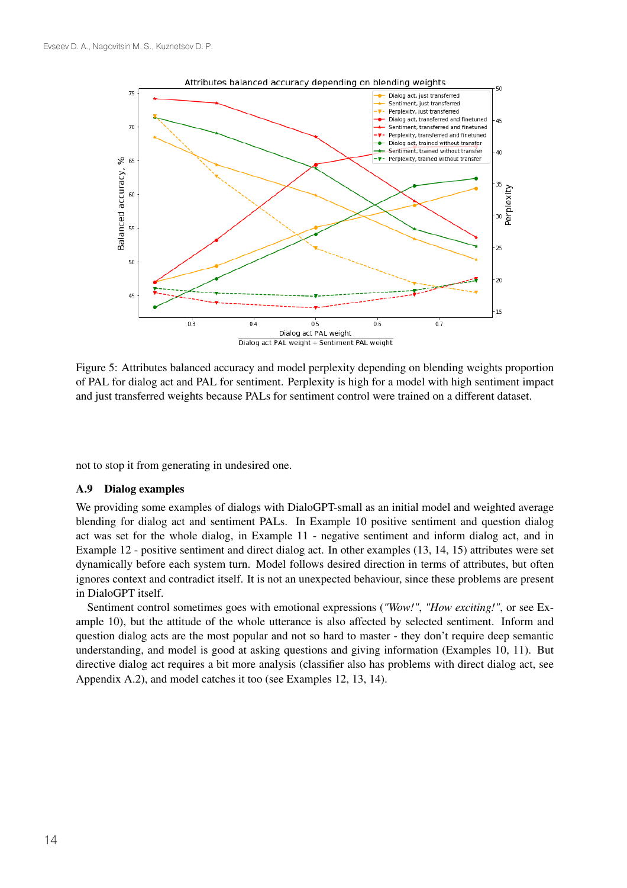

Figure 5: Attributes balanced accuracy and model perplexity depending on blending weights proportion of PAL for dialog act and PAL for sentiment. Perplexity is high for a model with high sentiment impact and just transferred weights because PALs for sentiment control were trained on a different dataset.

not to stop it from generating in undesired one.

#### A.9 Dialog examples

We providing some examples of dialogs with DialoGPT-small as an initial model and weighted average blending for dialog act and sentiment PALs. In Example 10 positive sentiment and question dialog act was set for the whole dialog, in Example 11 - negative sentiment and inform dialog act, and in Example 12 - positive sentiment and direct dialog act. In other examples (13, 14, 15) attributes were set dynamically before each system turn. Model follows desired direction in terms of attributes, but often ignores context and contradict itself. It is not an unexpected behaviour, since these problems are present in DialoGPT itself.

Sentiment control sometimes goes with emotional expressions (*"Wow!"*, *"How exciting!"*, or see Example 10), but the attitude of the whole utterance is also affected by selected sentiment. Inform and question dialog acts are the most popular and not so hard to master - they don't require deep semantic understanding, and model is good at asking questions and giving information (Examples 10, 11). But directive dialog act requires a bit more analysis (classifier also has problems with direct dialog act, see Appendix A.2), and model catches it too (see Examples 12, 13, 14).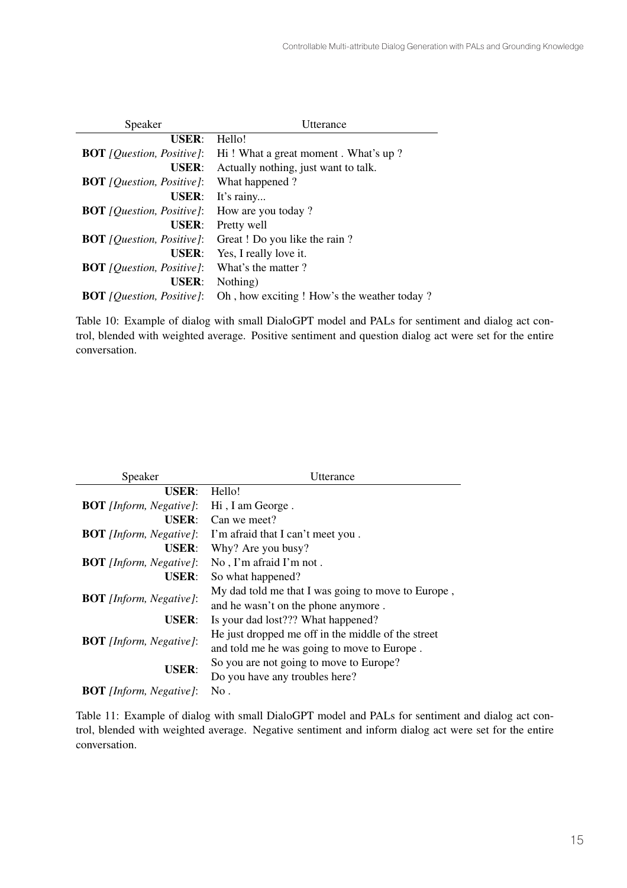| Speaker                                   | Utterance                                   |
|-------------------------------------------|---------------------------------------------|
| USER:                                     | Hello!                                      |
| <b>BOT</b> [ <i>Question, Positive</i> ]: | Hi! What a great moment. What's up?         |
| <b>USER:</b>                              | Actually nothing, just want to talk.        |
| <b>BOT</b> [ <i>Question, Positive</i> ]: | What happened?                              |
| USER:                                     | It's rainy                                  |
| <b>BOT</b> [ <i>Question, Positive</i> ]: | How are you today?                          |
| <b>USER:</b>                              | Pretty well                                 |
| <b>BOT</b> [ <i>Question, Positive</i> ]: | Great ! Do you like the rain?               |
| <b>USER:</b>                              | Yes, I really love it.                      |
| <b>BOT</b> [ <i>Question, Positive</i> ]: | What's the matter?                          |
| <b>USER:</b>                              | Nothing)                                    |
| <b>BOT</b> [ <i>Question, Positive</i> ]: | Oh, how exciting ! How's the weather today? |

Table 10: Example of dialog with small DialoGPT model and PALs for sentiment and dialog act control, blended with weighted average. Positive sentiment and question dialog act were set for the entire conversation.

| Speaker                        | Utterance                                          |  |  |
|--------------------------------|----------------------------------------------------|--|--|
| <b>USER:</b>                   | Hello!                                             |  |  |
| <b>BOT</b> [Inform, Negative]: | Hi, I am George.                                   |  |  |
| <b>USER:</b>                   | Can we meet?                                       |  |  |
| <b>BOT</b> [Inform, Negative]: | I'm afraid that I can't meet you.                  |  |  |
| <b>USER:</b>                   | Why? Are you busy?                                 |  |  |
| <b>BOT</b> [Inform, Negative]: | No, I'm afraid I'm not.                            |  |  |
| <b>USER:</b>                   | So what happened?                                  |  |  |
| <b>BOT</b> [Inform, Negative]: | My dad told me that I was going to move to Europe, |  |  |
|                                | and he wasn't on the phone anymore.                |  |  |
| <b>USER:</b>                   | Is your dad lost??? What happened?                 |  |  |
| <b>BOT</b> [Inform, Negative]: | He just dropped me off in the middle of the street |  |  |
|                                | and told me he was going to move to Europe.        |  |  |
| <b>USER:</b>                   | So you are not going to move to Europe?            |  |  |
|                                | Do you have any troubles here?                     |  |  |
| <b>BOT</b> [Inform, Negative]: | No.                                                |  |  |

Table 11: Example of dialog with small DialoGPT model and PALs for sentiment and dialog act control, blended with weighted average. Negative sentiment and inform dialog act were set for the entire conversation.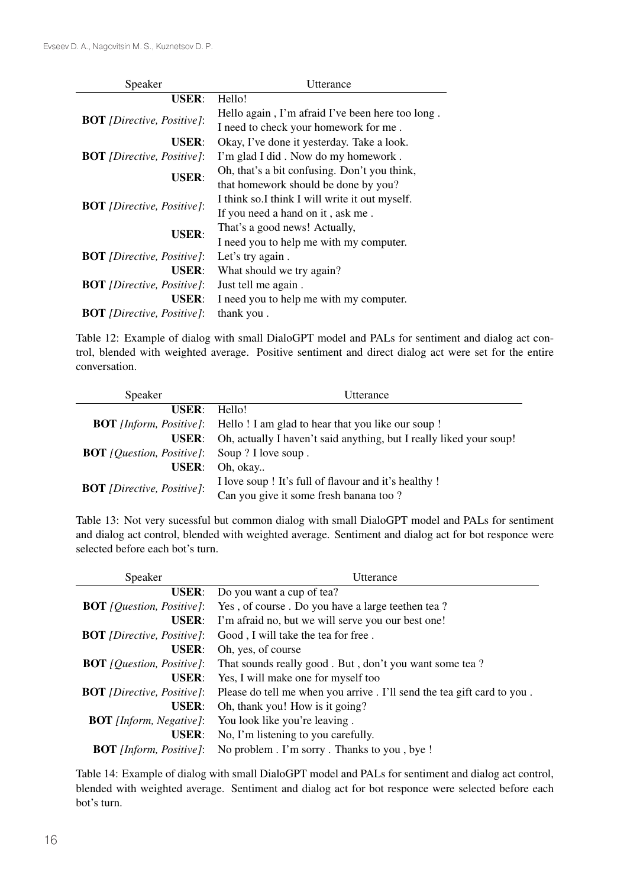| Speaker                                                           | Utterance                                        |
|-------------------------------------------------------------------|--------------------------------------------------|
| <b>USER:</b>                                                      | Hello!                                           |
| <b>BOT</b> [Directive, Positive]:                                 | Hello again, I'm afraid I've been here too long. |
|                                                                   | I need to check your homework for me.            |
| <b>USER:</b>                                                      | Okay, I've done it yesterday. Take a look.       |
| <b>BOT</b> [Directive, Positive]:                                 | I'm glad I did. Now do my homework.              |
| <b>USER:</b><br><b>BOT</b> [Directive, Positive]:<br><b>USER:</b> | Oh, that's a bit confusing. Don't you think,     |
|                                                                   | that homework should be done by you?             |
|                                                                   | I think so.I think I will write it out myself.   |
|                                                                   | If you need a hand on it, ask me.                |
|                                                                   | That's a good news! Actually,                    |
|                                                                   | I need you to help me with my computer.          |
| <b>BOT</b> [Directive, Positive]:                                 | Let's try again.                                 |
| <b>USER:</b>                                                      | What should we try again?                        |
| <b>BOT</b> [Directive, Positive]:                                 | Just tell me again.                              |
| <b>USER:</b>                                                      | I need you to help me with my computer.          |
| <b>BOT</b> [Directive, Positive]:                                 | thank you.                                       |

Table 12: Example of dialog with small DialoGPT model and PALs for sentiment and dialog act control, blended with weighted average. Positive sentiment and direct dialog act were set for the entire conversation.

| Speaker                                                       | Utterance                                                                         |
|---------------------------------------------------------------|-----------------------------------------------------------------------------------|
| $USER: Hello!$                                                |                                                                                   |
|                                                               | <b>BOT</b> [Inform, Positive]: Hello ! I am glad to hear that you like our soup ! |
|                                                               | <b>USER:</b> Oh, actually I haven't said anything, but I really liked your soup!  |
| <b>BOT</b> [ <i>Question, Positive</i> ]: Soup ? I love soup. |                                                                                   |
|                                                               | <b>USER:</b> Oh, okay                                                             |
| <b>BOT</b> [Directive, Positive]:                             | I love soup ! It's full of flavour and it's healthy !                             |
|                                                               | Can you give it some fresh banana too?                                            |

Table 13: Not very sucessful but common dialog with small DialoGPT model and PALs for sentiment and dialog act control, blended with weighted average. Sentiment and dialog act for bot responce were selected before each bot's turn.

| Speaker                                   | Utterance                                                                         |
|-------------------------------------------|-----------------------------------------------------------------------------------|
|                                           | <b>USER:</b> Do you want a cup of tea?                                            |
|                                           | <b>BOT</b> [Question, Positive]: Yes, of course. Do you have a large teethen tea? |
| <b>USER:</b>                              | I'm afraid no, but we will serve you our best one!                                |
| <b>BOT</b> [Directive, Positive]:         | Good, I will take the tea for free.                                               |
|                                           | <b>USER:</b> Oh, yes, of course                                                   |
| <b>BOT</b> [ <i>Question, Positive</i> ]: | That sounds really good. But, don't you want some tea?                            |
| <b>USER:</b>                              | Yes, I will make one for myself too                                               |
| <b>BOT</b> [Directive, Positive]:         | Please do tell me when you arrive . I'll send the tea gift card to you.           |
| <b>USER:</b>                              | Oh, thank you! How is it going?                                                   |
| <b>BOT</b> [Inform, Negative]:            | You look like you're leaving.                                                     |
| USER:                                     | No, I'm listening to you carefully.                                               |
| <b>BOT</b> [Inform, Positive]:            | No problem . I'm sorry . Thanks to you, bye!                                      |

Table 14: Example of dialog with small DialoGPT model and PALs for sentiment and dialog act control, blended with weighted average. Sentiment and dialog act for bot responce were selected before each bot's turn.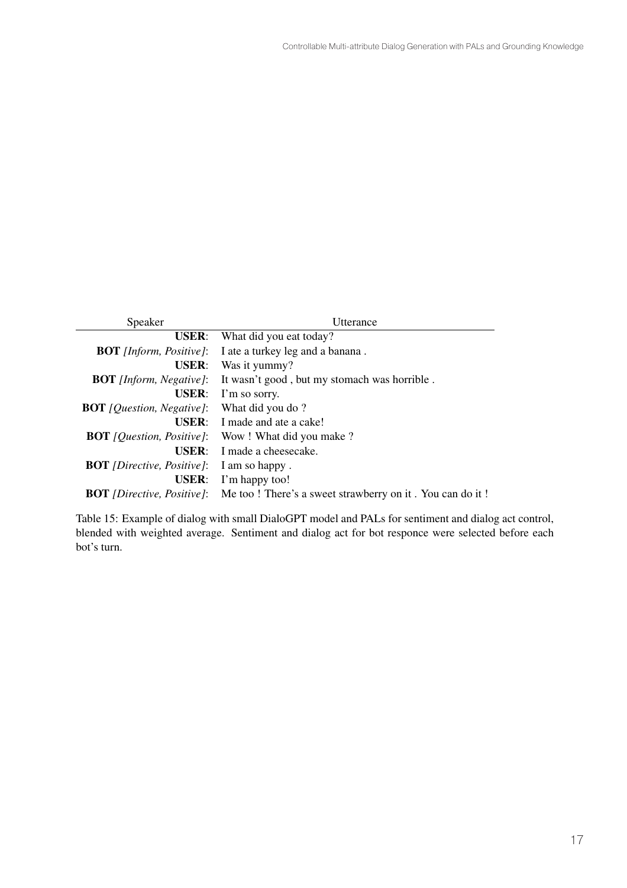| Speaker                                   | Utterance                                                                                          |
|-------------------------------------------|----------------------------------------------------------------------------------------------------|
| <b>USER:</b>                              | What did you eat today?                                                                            |
| <b>BOT</b> [Inform, Positive]:            | I ate a turkey leg and a banana.                                                                   |
| <b>USER:</b>                              | Was it yummy?                                                                                      |
| <b>BOT</b> [Inform, Negative]:            | It wasn't good, but my stomach was horrible.                                                       |
| <b>USER:</b>                              | I'm so sorry.                                                                                      |
| <b>BOT</b> [ <i>Question, Negative</i> ]: | What did you do?                                                                                   |
|                                           | $USER: I made and ate a cake!$                                                                     |
|                                           | <b>BOT</b> [ <i>Question, Positive</i> ]: Wow! What did you make?                                  |
| $USER$                                    | I made a cheesecake.                                                                               |
| <b>BOT</b> [Directive, Positive]:         | I am so happy.                                                                                     |
| <b>USER:</b>                              | I'm happy too!                                                                                     |
|                                           | <b>BOT</b> <i>(Directive, Positive)</i> : Me too! There's a sweet strawberry on it. You can do it! |

Table 15: Example of dialog with small DialoGPT model and PALs for sentiment and dialog act control, blended with weighted average. Sentiment and dialog act for bot responce were selected before each bot's turn.